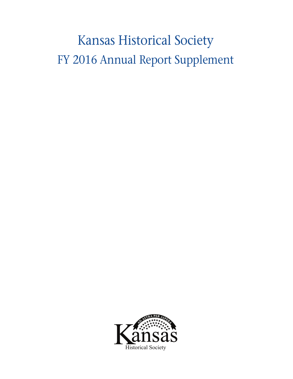# Kansas Historical Society FY 2016 Annual Report Supplement

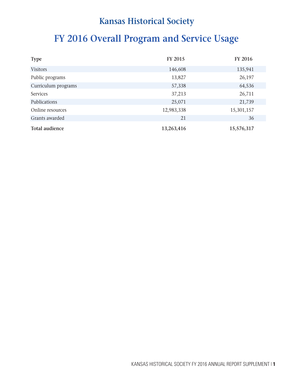# **FY 2016 Overall Program and Service Usage**

| <b>Type</b>           | <b>FY 2015</b> | <b>FY 2016</b> |
|-----------------------|----------------|----------------|
| <b>Visitors</b>       | 146,608        | 135,941        |
| Public programs       | 13,827         | 26,197         |
| Curriculum programs   | 57,338         | 64,536         |
| <b>Services</b>       | 37,213         | 26,711         |
| Publications          | 25,071         | 21,739         |
| Online resources      | 12,983,338     | 15,301,157     |
| Grants awarded        | 21             | 36             |
| <b>Total audience</b> | 13,263,416     | 15,576,317     |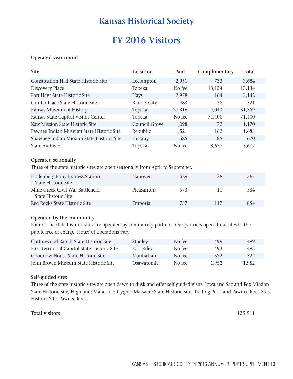# **FY 2016 Visitors**

### **Operated year-round**

| <b>Site</b>                                  | Location      | Paid   | Complimentary | <b>Total</b> |
|----------------------------------------------|---------------|--------|---------------|--------------|
| <b>Constitution Hall State Historic Site</b> | Lecompton     | 2,951  | 733           | 3,684        |
| Discovery Place                              | Topeka        | No fee | 13,134        | 13,134       |
| Fort Hays State Historic Site                | <b>Hays</b>   | 2,978  | 164           | 3,142        |
| Grinter Place State Historic Site            | Kansas City   | 483    | 38            | 521          |
| Kansas Museum of History                     | Topeka        | 27,316 | 4,043         | 31,359       |
| Kansas State Capitol Visitor Center          | Topeka        | No fee | 71,400        | 71,400       |
| Kaw Mission State Historic Site              | Council Grove | 1,098  | 72            | 1,170        |
| Pawnee Indian Museum State Historic Site     | Republic      | 1,521  | 162           | 1,683        |
| Shawnee Indian Mission State Historic Site   | Fairway       | 585    | 85            | 670          |
| <b>State Archives</b>                        | Topeka        | No fee | 3.677         | 3,677        |

#### **Operated seasonally**

Three of the state historic sites are open seasonally from April to September.

| Hollenberg Pony Express Station<br>State Historic Site  | <b>Hanover</b> | 529 | 38  | 567 |
|---------------------------------------------------------|----------------|-----|-----|-----|
| Mine Creek Civil War Battlefield<br>State Historic Site | Pleasanton     | 573 |     | 584 |
| Red Rocks State Historic Site                           | Emporia        | 737 | 117 | 854 |

#### **Operated by the community**

Four of the state historic sites are operated by community partners. Our partners open these sites to the public free of charge. Hours of operations vary.

| Cottonwood Ranch State Historic Site          | Studley    | No fee | 499   | 499   |
|-----------------------------------------------|------------|--------|-------|-------|
| First Territorial Capitol State Historic Site | Fort Riley | No fee | 493   | 493   |
| Goodnow House State Historic Site             | Manhattan  | No fee | 522   | 522   |
| John Brown Museum State Historic Site         | Osawatomie | No fee | 1.952 | 1.952 |

#### **Self-guided sites**

Three of the state historic sites are open dawn to dusk and offer self-guided visits: Iowa and Sac and Fox Mission State Historic Site, Highland; Marais des Cygnes Massacre State Historic Site, Trading Post; and Pawnee Rock State Historic Site, Pawnee Rock.

#### **Total visitors 135,911**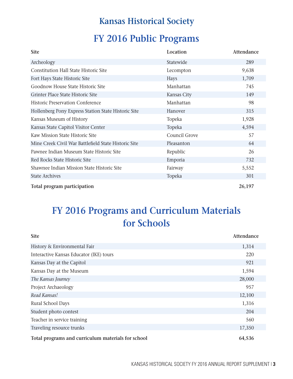# **FY 2016 Public Programs**

| <b>Site</b>                                          | Location      | Attendance |
|------------------------------------------------------|---------------|------------|
| Archeology                                           | Statewide     | 289        |
| <b>Constitution Hall State Historic Site</b>         | Lecompton     | 9,638      |
| Fort Hays State Historic Site                        | <b>Hays</b>   | 1,709      |
| Goodnow House State Historic Site                    | Manhattan     | 745        |
| Grinter Place State Historic Site                    | Kansas City   | 149        |
| <b>Historic Preservation Conference</b>              | Manhattan     | 98         |
| Hollenberg Pony Express Station State Historic Site  | Hanover       | 315        |
| Kansas Museum of History                             | Topeka        | 1,928      |
| Kansas State Capitol Visitor Center                  | Topeka        | 4,594      |
| Kaw Mission State Historic Site                      | Council Grove | 57         |
| Mine Creek Civil War Battlefield State Historic Site | Pleasanton    | 64         |
| Pawnee Indian Museum State Historic Site             | Republic      | 26         |
| Red Rocks State Historic Site                        | Emporia       | 732        |
| Shawnee Indian Mission State Historic Site           | Fairway       | 5,552      |
| <b>State Archives</b>                                | Topeka        | 301        |
| Total program participation                          |               | 26,197     |

# **FY 2016 Programs and Curriculum Materials for Schools**

| <b>Site</b>                                        | Attendance |
|----------------------------------------------------|------------|
| History & Environmental Fair                       | 1,314      |
| Interactive Kansas Educator (IKE) tours            | 220        |
| Kansas Day at the Capitol                          | 921        |
| Kansas Day at the Museum                           | 1,594      |
| The Kansas Journey                                 | 28,000     |
| Project Archaeology                                | 957        |
| Read Kansas!                                       | 12,100     |
| Rural School Days                                  | 1,316      |
| Student photo contest                              | 204        |
| Teacher in service training                        | 560        |
| Traveling resource trunks                          | 17,350     |
| Total programs and curriculum materials for school | 64,536     |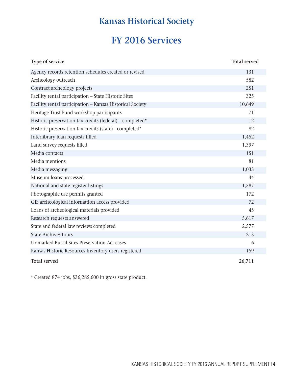# **FY 2016 Services**

| Type of service                                           | <b>Total served</b> |
|-----------------------------------------------------------|---------------------|
| Agency records retention schedules created or revised     | 131                 |
| Archeology outreach                                       | 582                 |
| Contract archeology projects                              | 251                 |
| Facility rental participation - State Historic Sites      | 325                 |
| Facility rental participation - Kansas Historical Society | 10,649              |
| Heritage Trust Fund workshop participants                 | 71                  |
| Historic preservation tax credits (federal) – completed*  | 12                  |
| Historic preservation tax credits (state) - completed*    | 82                  |
| Interlibrary loan requests filled                         | 1,452               |
| Land survey requests filled                               | 1,397               |
| Media contacts                                            | 151                 |
| Media mentions                                            | 81                  |
| Media messaging                                           | 1,035               |
| Museum loans processed                                    | 44                  |
| National and state register listings                      | 1,587               |
| Photographic use permits granted                          | 172                 |
| GIS archeological information access provided             | 72                  |
| Loans of archeological materials provided                 | 45                  |
| Research requests answered                                | 5,617               |
| State and federal law reviews completed                   | 2,577               |
| <b>State Archives tours</b>                               | 213                 |
| Unmarked Burial Sites Preservation Act cases              | 6                   |
| Kansas Historic Resources Inventory users registered      | 159                 |
| <b>Total served</b>                                       | 26,711              |

\* Created 874 jobs, \$36,285,600 in gross state product.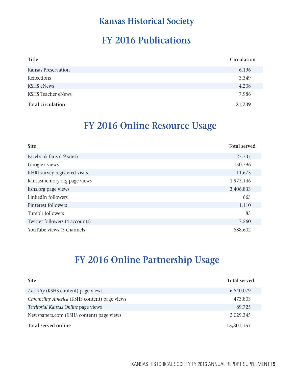# **FY 2016 Publications**

| Title                     | Circulation |
|---------------------------|-------------|
| Kansas Preservation       | 6,196       |
| Reflections               | 3,349       |
| <b>KSHS eNews</b>         | 4,208       |
| <b>KSHS Teacher eNews</b> | 7,986       |
| <b>Total circulation</b>  | 21,739      |

# **FY 2016 Online Resource Usage**

| <b>Site</b>                    | <b>Total served</b> |
|--------------------------------|---------------------|
| Facebook fans (19 sites)       | 27,737              |
| Google+ views                  | 150,796             |
| KHRI survey registered visits  | 11,673              |
| kansasmemory.org page views    | 1,973,146           |
| kshs.org page views            | 3,406,833           |
| LinkedIn followers             | 663                 |
| Pinterest followers            | 1,110               |
| Tumblr followers               | 85                  |
| Twitter followers (4 accounts) | 7,560               |
| YouTube views (3 channels)     | 588,602             |

# **FY 2016 Online Partnership Usage**

| <b>Site</b>                                   | <b>Total served</b> |
|-----------------------------------------------|---------------------|
| <i>Ancestry</i> (KSHS content) page views     | 6,540,079           |
| Chronicling America (KSHS content) page views | 473,803             |
| Territorial Kansas Online page views          | 89,725              |
| Newspapers.com (KSHS content) page views      | 2,029,345           |
| Total served online                           | 15,301,157          |